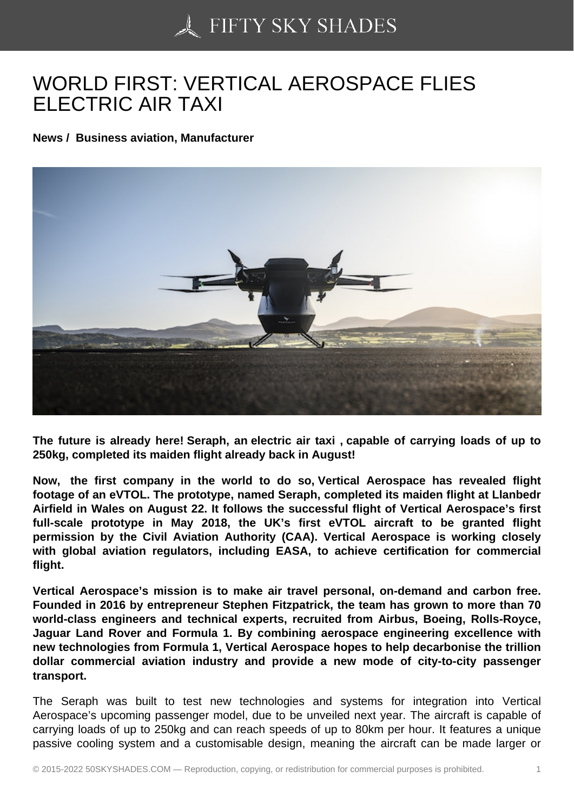## [WORLD FIRST: VERT](https://50skyshades.com)ICAL AEROSPACE FLIES ELECTRIC AIR TAXI

News / Business aviation, Manufacturer

The future is already here! Seraph, an electric air taxi , capable of carrying loads of up to 250kg, completed its maiden flight already back in August!

Now, the first company in the world to do so, Vertical Aerospace has revealed flight footage of an eVTOL. The prototype, named Seraph, completed its maiden flight at Llanbedr Airfield in Wales on August 22. It follows the successful flight of Vertical Aerospace's first full-scale prototype in May 2018, the UK's first eVTOL aircraft to be granted flight permission by the Civil Aviation Authority (CAA). Vertical Aerospace is working closely with global aviation regulators, including EASA, to achieve certification for commercial flight.

Vertical Aerospace's mission is to make air travel personal, on-demand and carbon free. Founded in 2016 by entrepreneur Stephen Fitzpatrick, the team has grown to more than 70 world-class engineers and technical experts, recruited from Airbus, Boeing, Rolls-Royce, Jaguar Land Rover and Formula 1. By combining aerospace engineering excellence with new technologies from Formula 1, Vertical Aerospace hopes to help decarbonise the trillion dollar commercial aviation industry and provide a new mode of city-to-city passenger transport.

The Seraph was built to test new technologies and systems for integration into Vertical Aerospace's upcoming passenger model, due to be unveiled next year. The aircraft is capable of carrying loads of up to 250kg and can reach speeds of up to 80km per hour. It features a unique passive cooling system and a customisable design, meaning the aircraft can be made larger or